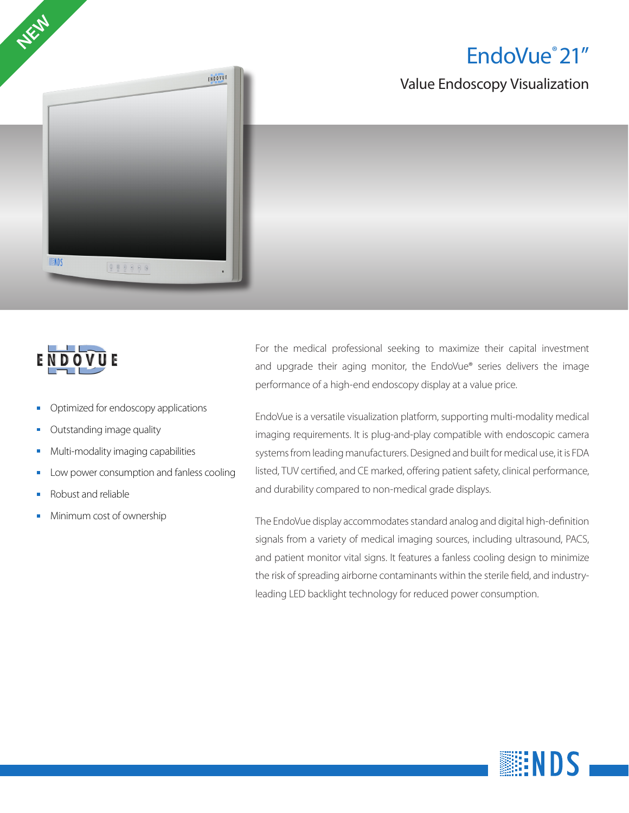EndoVue® 21"

Value Endoscopy Visualization





- Optimized for endoscopy applications
- Outstanding image quality
- Multi-modality imaging capabilities
- Low power consumption and fanless cooling
- Robust and reliable
- Minimum cost of ownership $\overline{\phantom{a}}$

For the medical professional seeking to maximize their capital investment and upgrade their aging monitor, the EndoVue® series delivers the image performance of a high-end endoscopy display at a value price.

EndoVue is a versatile visualization platform, supporting multi-modality medical imaging requirements. It is plug-and-play compatible with endoscopic camera systems from leading manufacturers. Designed and built for medical use, it is FDA listed, TUV certified, and CE marked, offering patient safety, clinical performance, and durability compared to non-medical grade displays.

The EndoVue display accommodates standard analog and digital high-definition signals from a variety of medical imaging sources, including ultrasound, PACS, and patient monitor vital signs. It features a fanless cooling design to minimize the risk of spreading airborne contaminants within the sterile field, and industryleading LED backlight technology for reduced power consumption.